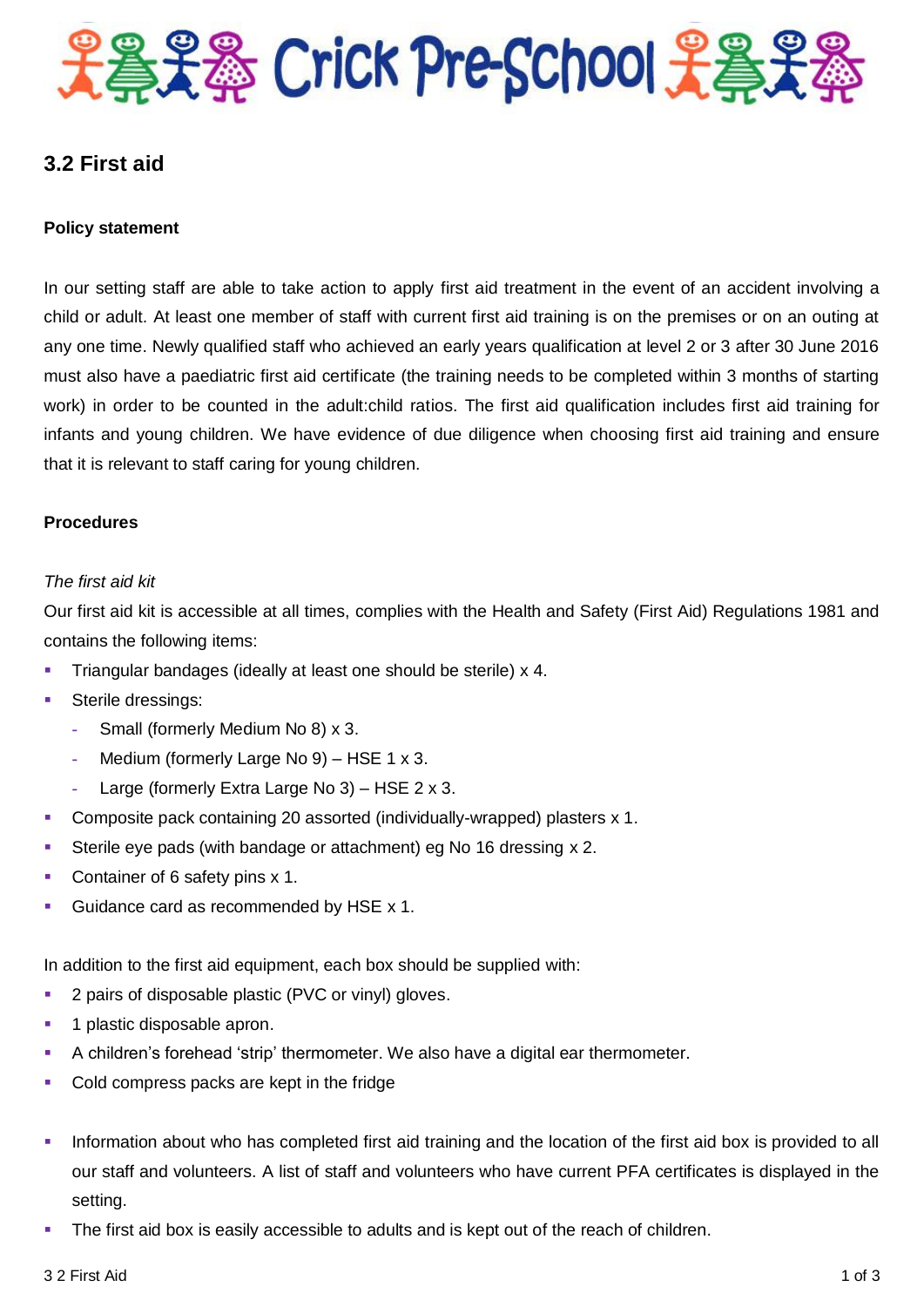

# **3.2 First aid**

### **Policy statement**

In our setting staff are able to take action to apply first aid treatment in the event of an accident involving a child or adult. At least one member of staff with current first aid training is on the premises or on an outing at any one time. Newly qualified staff who achieved an early years qualification at level 2 or 3 after 30 June 2016 must also have a paediatric first aid certificate (the training needs to be completed within 3 months of starting work) in order to be counted in the adult:child ratios. The first aid qualification includes first aid training for infants and young children. We have evidence of due diligence when choosing first aid training and ensure that it is relevant to staff caring for young children.

### **Procedures**

### *The first aid kit*

Our first aid kit is accessible at all times, complies with the Health and Safety (First Aid) Regulations 1981 and contains the following items:

- Triangular bandages (ideally at least one should be sterile) x 4.
- Sterile dressings:
	- **-** Small (formerly Medium No 8) x 3.
	- **-** Medium (formerly Large No 9) HSE 1 x 3.
	- **-** Large (formerly Extra Large No 3) HSE 2 x 3.
- Composite pack containing 20 assorted (individually-wrapped) plasters x 1.
- Sterile eye pads (with bandage or attachment) eg No 16 dressing x 2.
- Container of 6 safety pins x 1.
- Guidance card as recommended by HSE x 1.

In addition to the first aid equipment, each box should be supplied with:

- **2** pairs of disposable plastic (PVC or vinyl) gloves.
- **1** plastic disposable apron.
- A children's forehead 'strip' thermometer. We also have a digital ear thermometer.
- Cold compress packs are kept in the fridge
- Information about who has completed first aid training and the location of the first aid box is provided to all our staff and volunteers. A list of staff and volunteers who have current PFA certificates is displayed in the setting.
- The first aid box is easily accessible to adults and is kept out of the reach of children.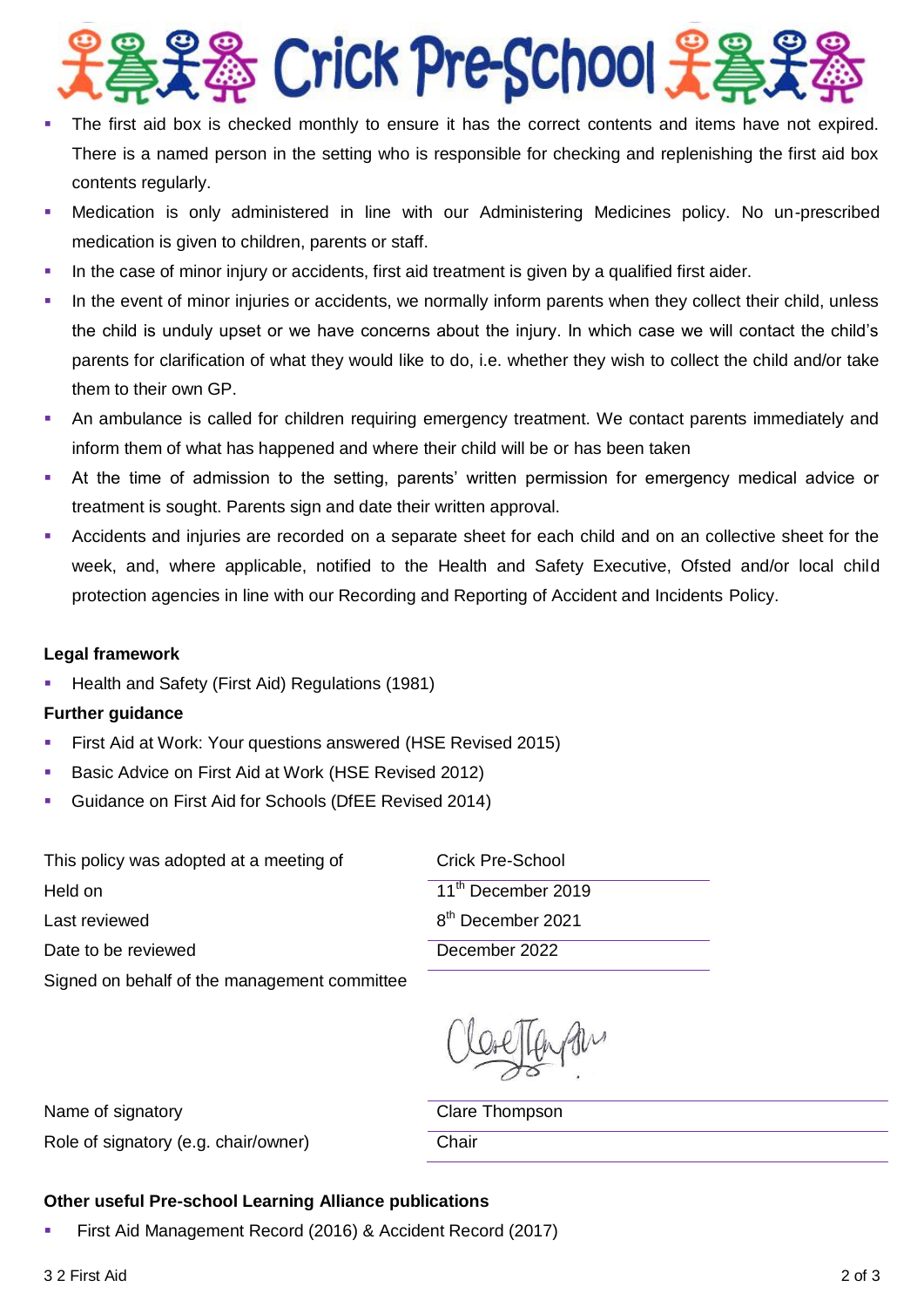# **S** Crick Pre-School 3

- The first aid box is checked monthly to ensure it has the correct contents and items have not expired. There is a named person in the setting who is responsible for checking and replenishing the first aid box contents regularly.
- Medication is only administered in line with our Administering Medicines policy. No un-prescribed medication is given to children, parents or staff.
- In the case of minor injury or accidents, first aid treatment is given by a qualified first aider.
- In the event of minor injuries or accidents, we normally inform parents when they collect their child, unless the child is unduly upset or we have concerns about the injury. In which case we will contact the child's parents for clarification of what they would like to do, i.e. whether they wish to collect the child and/or take them to their own GP.
- An ambulance is called for children requiring emergency treatment. We contact parents immediately and inform them of what has happened and where their child will be or has been taken
- At the time of admission to the setting, parents' written permission for emergency medical advice or treatment is sought. Parents sign and date their written approval.
- Accidents and injuries are recorded on a separate sheet for each child and on an collective sheet for the week, and, where applicable, notified to the Health and Safety Executive, Ofsted and/or local child protection agencies in line with our Recording and Reporting of Accident and Incidents Policy.

# **Legal framework**

Health and Safety (First Aid) Regulations (1981)

# **Further guidance**

- **First Aid at Work: Your questions answered (HSE Revised 2015)**
- Basic Advice on First Aid at Work (HSE Revised 2012)
- Guidance on First Aid for Schools (DfEE Revised 2014)

This policy was adopted at a meeting of Crick Pre-School Held on Last reviewed Date to be reviewed December 2022 Signed on behalf of the management committee

11<sup>th</sup> December 2019 8 th December 2021

Name of signatory and the Clare Thompson Role of signatory (e.g. chair/owner) Chair

## **Other useful Pre-school Learning Alliance publications**

First Aid Management Record (2016) & Accident Record (2017)